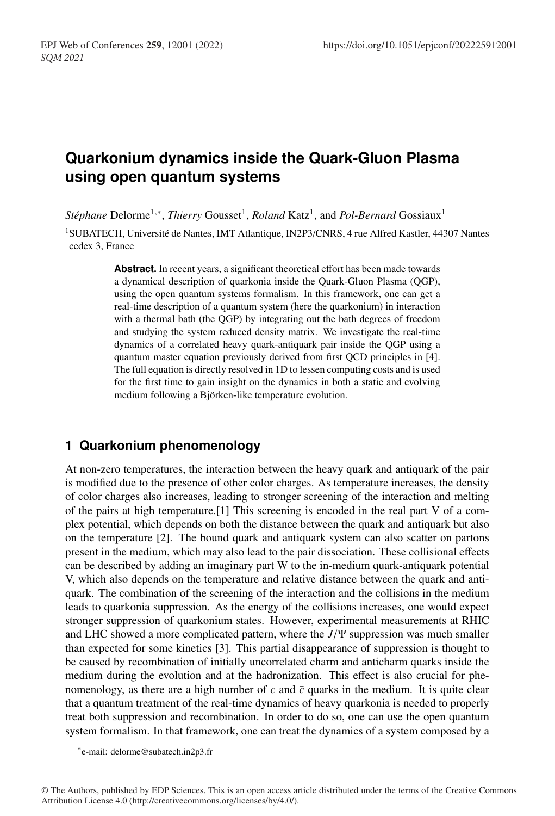# **Quarkonium dynamics inside the Quark-Gluon Plasma using open quantum systems**

*Stéphane* Delorme<sup>1,∗</sup>, *Thierry* Gousset<sup>1</sup>, *Roland* Katz<sup>1</sup>, and *Pol-Bernard* Gossiaux<sup>1</sup>

<sup>1</sup>SUBATECH, Université de Nantes, IMT Atlantique, IN2P3/CNRS, 4 rue Alfred Kastler, 44307 Nantes cedex 3, France

> **Abstract.** In recent years, a significant theoretical effort has been made towards a dynamical description of quarkonia inside the Quark-Gluon Plasma (QGP), using the open quantum systems formalism. In this framework, one can get a real-time description of a quantum system (here the quarkonium) in interaction with a thermal bath (the QGP) by integrating out the bath degrees of freedom and studying the system reduced density matrix. We investigate the real-time dynamics of a correlated heavy quark-antiquark pair inside the QGP using a quantum master equation previously derived from first QCD principles in [4]. The full equation is directly resolved in 1D to lessen computing costs and is used for the first time to gain insight on the dynamics in both a static and evolving medium following a Björken-like temperature evolution.

# **1 Quarkonium phenomenology**

At non-zero temperatures, the interaction between the heavy quark and antiquark of the pair is modified due to the presence of other color charges. As temperature increases, the density of color charges also increases, leading to stronger screening of the interaction and melting of the pairs at high temperature.[1] This screening is encoded in the real part V of a complex potential, which depends on both the distance between the quark and antiquark but also on the temperature [2]. The bound quark and antiquark system can also scatter on partons present in the medium, which may also lead to the pair dissociation. These collisional effects can be described by adding an imaginary part W to the in-medium quark-antiquark potential V, which also depends on the temperature and relative distance between the quark and antiquark. The combination of the screening of the interaction and the collisions in the medium leads to quarkonia suppression. As the energy of the collisions increases, one would expect stronger suppression of quarkonium states. However, experimental measurements at RHIC and LHC showed a more complicated pattern, where the *J*/Ψ suppression was much smaller than expected for some kinetics [3]. This partial disappearance of suppression is thought to be caused by recombination of initially uncorrelated charm and anticharm quarks inside the medium during the evolution and at the hadronization. This effect is also crucial for phenomenology, as there are a high number of  $c$  and  $\bar{c}$  quarks in the medium. It is quite clear that a quantum treatment of the real-time dynamics of heavy quarkonia is needed to properly treat both suppression and recombination. In order to do so, one can use the open quantum system formalism. In that framework, one can treat the dynamics of a system composed by a

<sup>∗</sup>e-mail: delorme@subatech.in2p3.fr

<sup>©</sup> The Authors, published by EDP Sciences. This is an open access article distributed under the terms of the Creative Commons Attribution License 4.0 (http://creativecommons.org/licenses/by/4.0/).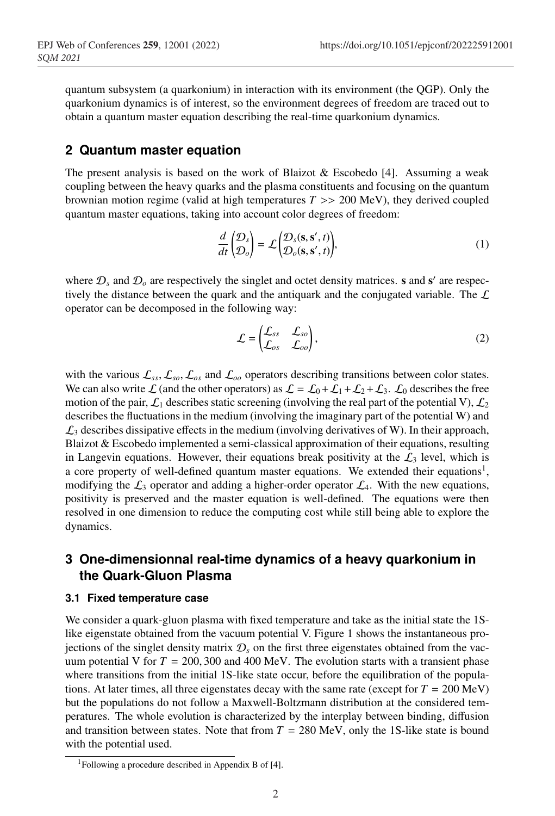quantum subsystem (a quarkonium) in interaction with its environment (the QGP). Only the quarkonium dynamics is of interest, so the environment degrees of freedom are traced out to obtain a quantum master equation describing the real-time quarkonium dynamics.

### **2 Quantum master equation**

The present analysis is based on the work of Blaizot  $\&$  Escobedo [4]. Assuming a weak coupling between the heavy quarks and the plasma constituents and focusing on the quantum brownian motion regime (valid at high temperatures  $T \gg 200 \text{ MeV}$ ), they derived coupled quantum master equations, taking into account color degrees of freedom:

$$
\frac{d}{dt} \begin{pmatrix} \mathcal{D}_s \\ \mathcal{D}_o \end{pmatrix} = \mathcal{L} \begin{pmatrix} \mathcal{D}_s(\mathbf{s}, \mathbf{s}', t) \\ \mathcal{D}_o(\mathbf{s}, \mathbf{s}', t) \end{pmatrix},\tag{1}
$$

where  $\mathcal{D}_s$  and  $\mathcal{D}_o$  are respectively the singlet and octet density matrices. **s** and **s'** are respectively the distance between the quark and the antiquark and the conjugated variable. The  $\mathcal L$ operator can be decomposed in the following way:

$$
\mathcal{L} = \begin{pmatrix} \mathcal{L}_{ss} & \mathcal{L}_{so} \\ \mathcal{L}_{os} & \mathcal{L}_{oo} \end{pmatrix},\tag{2}
$$

with the various  $\mathcal{L}_{ss}$ ,  $\mathcal{L}_{so}$ ,  $\mathcal{L}_{os}$  and  $\mathcal{L}_{oo}$  operators describing transitions between color states. We can also write L (and the other operators) as  $\mathcal{L} = \mathcal{L}_0 + \mathcal{L}_1 + \mathcal{L}_2 + \mathcal{L}_3$ . L<sub>0</sub> describes the free motion of the pair,  $\mathcal{L}_1$  describes static screening (involving the real part of the potential V),  $\mathcal{L}_2$ describes the fluctuations in the medium (involving the imaginary part of the potential W) and  $\mathcal{L}_3$  describes dissipative effects in the medium (involving derivatives of W). In their approach, Blaizot  $&$  Escobedo implemented a semi-classical approximation of their equations, resulting in Langevin equations. However, their equations break positivity at the  $\mathcal{L}_3$  level, which is a core property of well-defined quantum master equations. We extended their equations<sup>1</sup>, modifying the  $\mathcal{L}_3$  operator and adding a higher-order operator  $\mathcal{L}_4$ . With the new equations, positivity is preserved and the master equation is well-defined. The equations were then resolved in one dimension to reduce the computing cost while still being able to explore the dynamics.

# **3 One-dimensionnal real-time dynamics of a heavy quarkonium in the Quark-Gluon Plasma**

#### **3.1 Fixed temperature case**

We consider a quark-gluon plasma with fixed temperature and take as the initial state the 1Slike eigenstate obtained from the vacuum potential V. Figure 1 shows the instantaneous projections of the singlet density matrix  $\mathcal{D}_s$  on the first three eigenstates obtained from the vacuum potential V for  $T = 200,300$  and 400 MeV. The evolution starts with a transient phase where transitions from the initial 1S-like state occur, before the equilibration of the populations. At later times, all three eigenstates decay with the same rate (except for  $T = 200 \text{ MeV}$ ) but the populations do not follow a Maxwell-Boltzmann distribution at the considered temperatures. The whole evolution is characterized by the interplay between binding, diffusion and transition between states. Note that from  $T = 280$  MeV, only the 1S-like state is bound with the potential used.

<sup>1</sup>Following a procedure described in Appendix B of [4].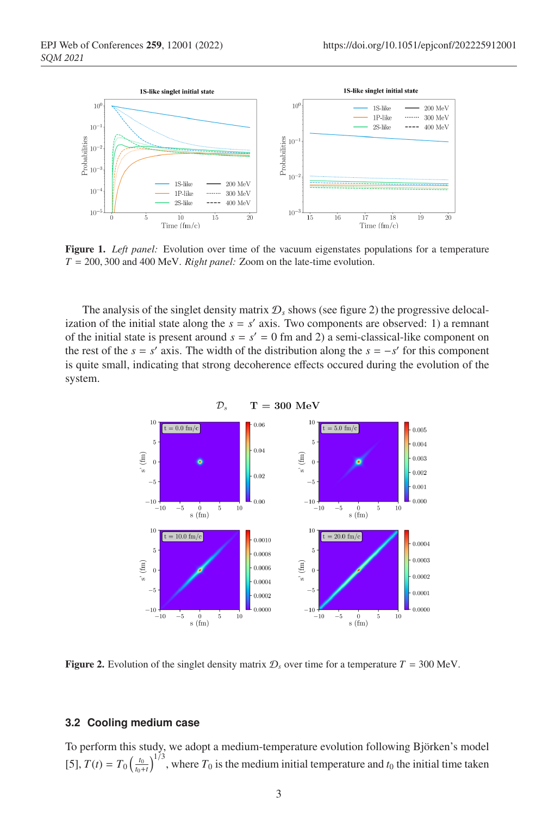

Figure 1. *Left panel:* Evolution over time of the vacuum eigenstates populations for a temperature *T* = 200, 300 and 400 MeV. *Right panel:* Zoom on the late-time evolution.

The analysis of the singlet density matrix  $\mathcal{D}_s$  shows (see figure 2) the progressive delocalization of the initial state along the  $s = s'$  axis. Two components are observed: 1) a remnant of the initial state is present around  $s = s' = 0$  fm and 2) a semi-classical-like component on the rest of the  $s = s'$  axis. The width of the distribution along the  $s = -s'$  for this component is quite small, indicating that strong decoherence effects occured during the evolution of the system.



**Figure 2.** Evolution of the singlet density matrix  $\mathcal{D}_s$  over time for a temperature  $T = 300$  MeV.

#### **3.2 Cooling medium case**

To perform this study, we adopt a medium-temperature evolution following Björken's model [5],  $T(t) = T_0 \left(\frac{t_0}{t_0+t}\right)^{1/3}$ , where  $T_0$  is the medium initial temperature and  $t_0$  the initial time taken